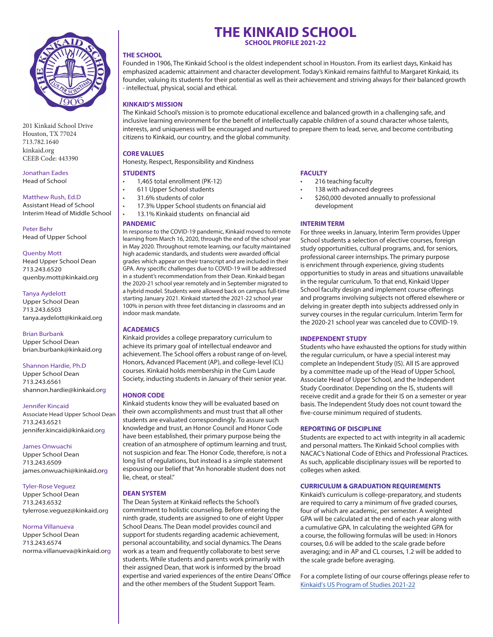

201 Kinkaid School Drive Houston, TX 77024 713.782.1640 kinkaid.org CEEB Code: 443390

Jonathan Eades Head of School

#### Matthew Rush, Ed.D

Assistant Head of School Interim Head of Middle School

Peter Behr Head of Upper School

#### Quenby Mott

Head Upper School Dean 713.243.6520 quenby.mott@kinkaid.org

#### Tanya Aydelott

Upper School Dean 713.243.6503 tanya.aydelott@kinkaid.org

#### Brian Burbank

Upper School Dean brian.burbank@kinkaid.org

#### Shannon Hardie, Ph.D

Upper School Dean 713.243.6561 shannon.hardie@kinkaid.org

#### Jennifer Kincaid

Associate Head Upper School Dean 713.243.6521 jennifer.kincaid@kinkaid.org

#### James Onwuachi

Upper School Dean 713.243.6509 james.onwuachi@kinkaid.org

#### Tyler-Rose Veguez

Upper School Dean 713.243.6532 tylerrose.veguez@kinkaid.org

#### Norma Villanueva

Upper School Dean 713.243.6574 norma.villanueva@kinkaid.org

# **THE KINKAID SCHOOL**

**SCHOOL PROFILE 2021-22**

#### **THE SCHOOL**

Founded in 1906, The Kinkaid School is the oldest independent school in Houston. From its earliest days, Kinkaid has emphasized academic attainment and character development. Today's Kinkaid remains faithful to Margaret Kinkaid, its founder, valuing its students for their potential as well as their achievement and striving always for their balanced growth - intellectual, physical, social and ethical.

#### **KINKAID'S MISSION**

The Kinkaid School's mission is to promote educational excellence and balanced growth in a challenging safe, and inclusive learning environment for the benefit of intellectually capable children of a sound character whose talents, interests, and uniqueness will be encouraged and nurtured to prepare them to lead, serve, and become contributing citizens to Kinkaid, our country, and the global community.

#### **CORE VALUES**

Honesty, Respect, Responsibility and Kindness

### **STUDENTS**

- 1,465 total enrollment (PK-12)
- 611 Upper School students
	- 31.6% students of color
- 17.3% Upper School students on financial aid
- 13.1% Kinkaid students on financial aid

#### **PANDEMIC**

In response to the COVID-19 pandemic, Kinkaid moved to remote learning from March 16, 2020, through the end of the school year in May 2020. Throughout remote learning, our faculty maintained high academic standards, and students were awarded official grades which appear on their transcript and are included in their GPA. Any specific challenges due to COVID-19 will be addressed in a student's recommendation from their Dean. Kinkaid began the 2020-21 school year remotely and in September migrated to a hybrid model. Students were allowed back on campus full-time starting January 2021. Kinkaid started the 2021-22 school year 100% in person with three feet distancing in classrooms and an indoor mask mandate.

#### **ACADEMICS**

Kinkaid provides a college preparatory curriculum to achieve its primary goal of intellectual endeavor and achievement. The School offers a robust range of on-level, Honors, Advanced Placement (AP), and college-level (CL) courses. Kinkaid holds membership in the Cum Laude Society, inducting students in January of their senior year.

#### **HONOR CODE**

Kinkaid students know they will be evaluated based on their own accomplishments and must trust that all other students are evaluated correspondingly. To assure such knowledge and trust, an Honor Council and Honor Code have been established, their primary purpose being the creation of an atmosphere of optimum learning and trust, not suspicion and fear. The Honor Code, therefore, is not a long list of regulations, but instead is a simple statement espousing our belief that "An honorable student does not lie, cheat, or steal."

#### **DEAN SYSTEM**

The Dean System at Kinkaid reflects the School's commitment to holistic counseling. Before entering the ninth grade, students are assigned to one of eight Upper School Deans. The Dean model provides council and support for students regarding academic achievement, personal accountability, and social dynamics. The Deans work as a team and frequently collaborate to best serve students. While students and parents work primarily with their assigned Dean, that work is informed by the broad expertise and varied experiences of the entire Deans' Office and the other members of the Student Support Team.

#### **FACULTY**

- 216 teaching faculty
- 138 with advanced degrees
- \$260,000 devoted annually to professional development

#### **INTERIM TERM**

For three weeks in January, Interim Term provides Upper School students a selection of elective courses, foreign study opportunities, cultural programs, and, for seniors, professional career internships. The primary purpose is enrichment through experience, giving students opportunities to study in areas and situations unavailable in the regular curriculum. To that end, Kinkaid Upper School faculty design and implement course offerings and programs involving subjects not offered elsewhere or delving in greater depth into subjects addressed only in survey courses in the regular curriculum. Interim Term for the 2020-21 school year was canceled due to COVID-19.

#### **INDEPENDENT STUDY**

Students who have exhausted the options for study within the regular curriculum, or have a special interest may complete an Independent Study (IS). All IS are approved by a committee made up of the Head of Upper School, Associate Head of Upper School, and the Independent Study Coordinator. Depending on the IS, students will receive credit and a grade for their IS on a semester or year basis. The Independent Study does not count toward the five-course minimum required of students.

#### **REPORTING OF DISCIPLINE**

Students are expected to act with integrity in all academic and personal matters. The Kinkaid School complies with NACAC's National Code of Ethics and Professional Practices. As such, applicable disciplinary issues will be reported to colleges when asked.

#### **CURRICULUM & GRADUATION REQUIREMENTS**

Kinkaid's curriculum is college-preparatory, and students are required to carry a minimum of five graded courses, four of which are academic, per semester. A weighted GPA will be calculated at the end of each year along with a cumulative GPA. In calculating the weighted GPA for a course, the following formulas will be used: in Honors courses, 0.6 will be added to the scale grade before averaging; and in AP and CL courses, 1.2 will be added to the scale grade before averaging.

For a complete listing of our course offerings please refer to [Kinkaid's US Program of Studies 2021-22](https://resources.finalsite.net/images/v1622668401/kinkaid/fdlz7mhkty8hkh5yomdu/USProgramofStudies21-225-24-21update.pdf)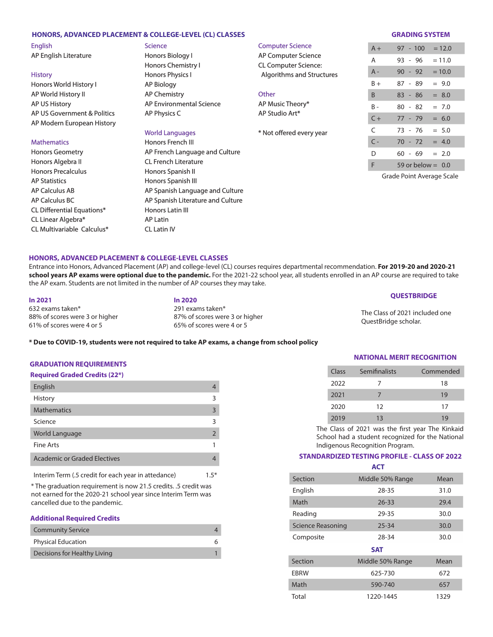#### **HONORS, ADVANCED PLACEMENT & COLLEGE-LEVEL (CL) CLASSES GRADING SYSTEM**

English AP English Literature

**History** Honors World History I AP World History II AP US History AP US Government & Politics AP Modern European History

#### **Mathematics**

Honors Geometry Honors Algebra II Honors Precalculus AP Statistics AP Calculus AB AP Calculus BC CL Differential Equations\* CL Linear Algebra\* CL Multivariable Calculus\*

# **Science**

Honors Biology I Honors Chemistry I Honors Physics I AP Biology AP Chemistry AP Environmental Science AP Physics C

# World Languages

Honors French III AP French Language and Culture CL French Literature Honors Spanish II Honors Spanish III AP Spanish Language and Culture AP Spanish Literature and Culture Honors Latin III AP Latin CL Latin IV

| <b>Computer Science</b>          |
|----------------------------------|
| <b>AP Computer Science</b>       |
| <b>CL Computer Science:</b>      |
| <b>Algorithms and Structures</b> |
|                                  |
| Other                            |
| AP Music Theory*                 |
| AP Studio Art*                   |
|                                  |
| * Not offered every year         |
|                                  |

| $A +$          |           | $97 - 100$          | $= 12.0$ |
|----------------|-----------|---------------------|----------|
| А              | 93 - 96   |                     | $= 11.0$ |
| A -            | $90 - 92$ |                     | $= 10.0$ |
| $B +$          | 87 - 89   |                     | $= 9.0$  |
| B              | $83 - 86$ |                     | $= 8.0$  |
| B -            | 80 - 82   |                     | $= 7.0$  |
| $C +$          | 77 - 79   |                     | $= 6.0$  |
| C              | 73 - 76   |                     | $= 5.0$  |
| $\mathsf{C}$ - | 70 - 72   |                     | $= 4.0$  |
| D              | 60 - 69   |                     | $= 2.0$  |
| F              |           | 59 or below $=$ 0.0 |          |

Grade Point Average Scale

#### **HONORS, ADVANCED PLACEMENT & COLLEGE-LEVEL CLASSES**

Entrance into Honors, Advanced Placement (AP) and college-level (CL) courses requires departmental recommendation. **For 2019-20 and 2020-21 school years AP exams were optional due to the pandemic.** For the 2021-22 school year, all students enrolled in an AP course are required to take the AP exam. Students are not limited in the number of AP courses they may take.

**In 2021 In 2020** 632 exams taken\* 291 exams taken\* 88% of scores were 3 or higher 87% of scores were 3 or higher 61% of scores were 4 or 5 65% of scores were 4 or 5

## **QUESTBRIDGE**

The Class of 2021 included one QuestBridge scholar.

#### **\* Due to COVID-19, students were not required to take AP exams, a change from school policy**

#### **GRADUATION REQUIREMENTS**

#### **Required Graded Credits (22\*)**

| English                      |               |
|------------------------------|---------------|
| History                      | 3             |
| <b>Mathematics</b>           | 3             |
| Science                      | З             |
| World Language               | $\mathcal{L}$ |
| <b>Fine Arts</b>             |               |
| Academic or Graded Electives |               |

Interim Term (.5 credit for each year in attedance) 1.5\*

\* The graduation requirement is now 21.5 credits. .5 credit was not earned for the 2020-21 school year since Interim Term was cancelled due to the pandemic.

#### **Additional Required Credits**

| <b>Community Service</b>     |  |
|------------------------------|--|
| <b>Physical Education</b>    |  |
| Decisions for Healthy Living |  |

| NATIONAL MERIT RECOGNITION |
|----------------------------|
|----------------------------|

| Class | Semifinalists | Commended |
|-------|---------------|-----------|
| 2022  |               | 18        |
| 2021  |               | 19        |
| 2020  | 12            | 17        |
| 2019  | 13            | 19        |

The Class of 2021 was the first year The Kinkaid School had a student recognized for the National Indigenous Recognition Program.

#### **STANDARDIZED TESTING PROFILE - CLASS OF 2022 ACT**

| Section           | Middle 50% Range | Mean |
|-------------------|------------------|------|
| English           | 28-35            | 31.0 |
| Math              | $26 - 33$        | 29.4 |
| Reading           | 29-35            | 30.0 |
| Science Reasoning | $25 - 34$        | 30.0 |
| Composite         | 28-34            | 30.0 |
|                   | <b>SAT</b>       |      |
| Section           | Middle 50% Range | Mean |
| <b>EBRW</b>       | 625-730          | 672  |
| Math              | 590-740          | 657  |
| Total             | 1220-1445        | 1329 |